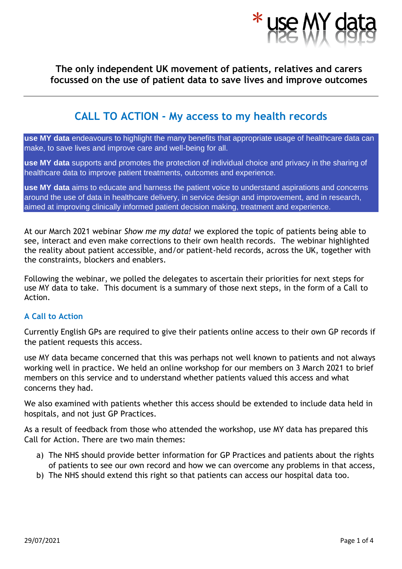

## **The only independent UK movement of patients, relatives and carers focussed on the use of patient data to save lives and improve outcomes**

# **CALL TO ACTION - My access to my health records**

**use MY data** endeavours to highlight the many benefits that appropriate usage of healthcare data can make, to save lives and improve care and well-being for all.

**use MY data** supports and promotes the protection of individual choice and privacy in the sharing of healthcare data to improve patient treatments, outcomes and experience.

**use MY data** aims to educate and harness the patient voice to understand aspirations and concerns around the use of data in healthcare delivery, in service design and improvement, and in research, aimed at improving clinically informed patient decision making, treatment and experience.

At our March 2021 webinar *Show me my data!* we explored the topic of patients being able to see, interact and even make corrections to their own health records. The webinar highlighted the reality about patient accessible, and/or patient-held records, across the UK, together with the constraints, blockers and enablers.

Following the webinar, we polled the delegates to ascertain their priorities for next steps for use MY data to take. This document is a summary of those next steps, in the form of a Call to Action.

## **A Call to Action**

Currently English GPs are required to give their patients online access to their own GP records if the patient requests this access.

use MY data became concerned that this was perhaps not well known to patients and not always working well in practice. We held an online workshop for our members on 3 March 2021 to brief members on this service and to understand whether patients valued this access and what concerns they had.

We also examined with patients whether this access should be extended to include data held in hospitals, and not just GP Practices.

As a result of feedback from those who attended the workshop, use MY data has prepared this Call for Action. There are two main themes:

- a) The NHS should provide better information for GP Practices and patients about the rights of patients to see our own record and how we can overcome any problems in that access,
- b) The NHS should extend this right so that patients can access our hospital data too.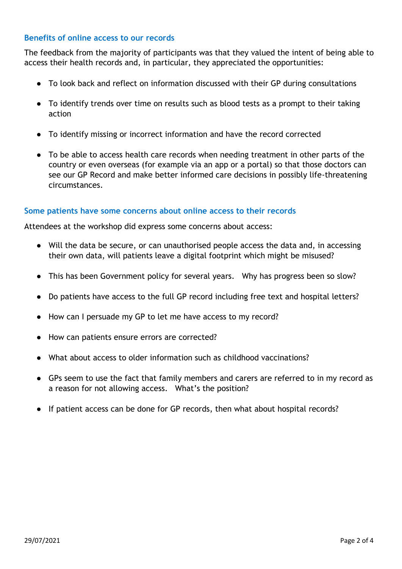### **Benefits of online access to our records**

The feedback from the majority of participants was that they valued the intent of being able to access their health records and, in particular, they appreciated the opportunities:

- To look back and reflect on information discussed with their GP during consultations
- To identify trends over time on results such as blood tests as a prompt to their taking action
- To identify missing or incorrect information and have the record corrected
- To be able to access health care records when needing treatment in other parts of the country or even overseas (for example via an app or a portal) so that those doctors can see our GP Record and make better informed care decisions in possibly life-threatening circumstances.

### **Some patients have some concerns about online access to their records**

Attendees at the workshop did express some concerns about access:

- Will the data be secure, or can unauthorised people access the data and, in accessing their own data, will patients leave a digital footprint which might be misused?
- This has been Government policy for several years. Why has progress been so slow?
- Do patients have access to the full GP record including free text and hospital letters?
- How can I persuade my GP to let me have access to my record?
- How can patients ensure errors are corrected?
- What about access to older information such as childhood vaccinations?
- GPs seem to use the fact that family members and carers are referred to in my record as a reason for not allowing access. What's the position?
- If patient access can be done for GP records, then what about hospital records?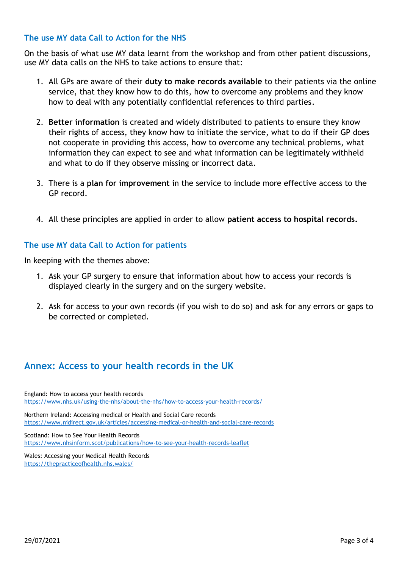## **The use MY data Call to Action for the NHS**

On the basis of what use MY data learnt from the workshop and from other patient discussions, use MY data calls on the NHS to take actions to ensure that:

- 1. All GPs are aware of their **duty to make records available** to their patients via the online service, that they know how to do this, how to overcome any problems and they know how to deal with any potentially confidential references to third parties.
- 2. **Better information** is created and widely distributed to patients to ensure they know their rights of access, they know how to initiate the service, what to do if their GP does not cooperate in providing this access, how to overcome any technical problems, what information they can expect to see and what information can be legitimately withheld and what to do if they observe missing or incorrect data.
- 3. There is a **plan for improvement** in the service to include more effective access to the GP record.
- 4. All these principles are applied in order to allow **patient access to hospital records.**

### **The use MY data Call to Action for patients**

In keeping with the themes above:

- 1. Ask your GP surgery to ensure that information about how to access your records is displayed clearly in the surgery and on the surgery website.
- 2. Ask for access to your own records (if you wish to do so) and ask for any errors or gaps to be corrected or completed.

# **Annex: Access to your health records in the UK**

England: How to access your health records <https://www.nhs.uk/using-the-nhs/about-the-nhs/how-to-access-your-health-records/>

Northern Ireland: Accessing medical or Health and Social Care records <https://www.nidirect.gov.uk/articles/accessing-medical-or-health-and-social-care-records>

Scotland: How to See Your Health Records <https://www.nhsinform.scot/publications/how-to-see-your-health-records-leaflet>

Wales: Accessing your Medical Health Records <https://thepracticeofhealth.nhs.wales/>